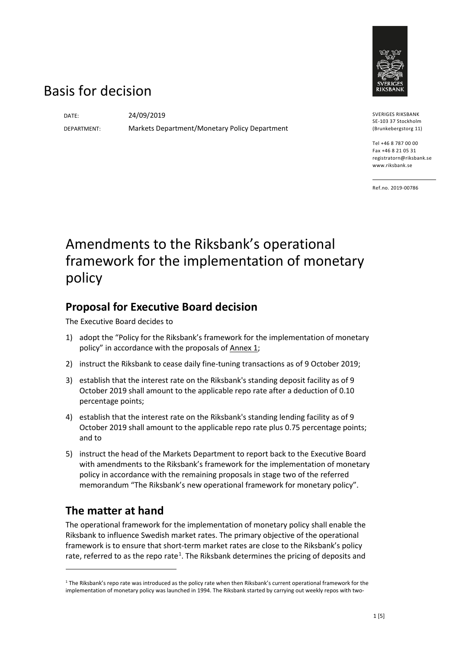

# Basis for decision

DATE: 24/09/2019

DEPARTMENT: Markets Department/Monetary Policy Department

SVERIGES RIKSBANK SE-103 37 Stockholm (Brunkebergstorg 11)

Tel +46 8 787 00 00 Fax +46 8 21 05 31 registratorn@riksbank.se www.riksbank.se

Ref.no. 2019-00786

# Amendments to the Riksbank's operational framework for the implementation of monetary policy

# **Proposal for Executive Board decision**

The Executive Board decides to

- 1) adopt the "Policy for the Riksbank's framework for the implementation of monetary policy" in accordance with the proposals of Annex 1;
- 2) instruct the Riksbank to cease daily fine-tuning transactions as of 9 October 2019;
- 3) establish that the interest rate on the Riksbank's standing deposit facility as of 9 October 2019 shall amount to the applicable repo rate after a deduction of 0.10 percentage points;
- 4) establish that the interest rate on the Riksbank's standing lending facility as of 9 October 2019 shall amount to the applicable repo rate plus 0.75 percentage points; and to
- 5) instruct the head of the Markets Department to report back to the Executive Board with amendments to the Riksbank's framework for the implementation of monetary policy in accordance with the remaining proposals in stage two of the referred memorandum "The Riksbank's new operational framework for monetary policy".

# **The matter at hand**

 $\overline{a}$ 

The operational framework for the implementation of monetary policy shall enable the Riksbank to influence Swedish market rates. The primary objective of the operational framework is to ensure that short-term market rates are close to the Riksbank's policy rate, referred to as the repo rate<sup>[1](#page-0-0)</sup>. The Riksbank determines the pricing of deposits and

<span id="page-0-0"></span> $1$  The Riksbank's repo rate was introduced as the policy rate when then Riksbank's current operational framework for the implementation of monetary policy was launched in 1994. The Riksbank started by carrying out weekly repos with two-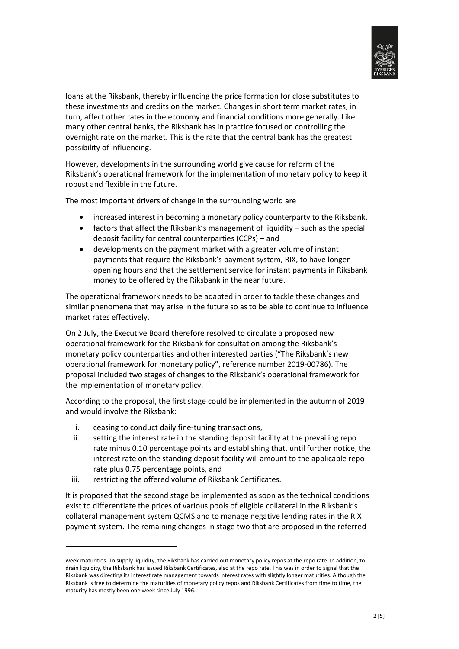

loans at the Riksbank, thereby influencing the price formation for close substitutes to these investments and credits on the market. Changes in short term market rates, in turn, affect other rates in the economy and financial conditions more generally. Like many other central banks, the Riksbank has in practice focused on controlling the overnight rate on the market. This is the rate that the central bank has the greatest possibility of influencing.

However, developments in the surrounding world give cause for reform of the Riksbank's operational framework for the implementation of monetary policy to keep it robust and flexible in the future.

The most important drivers of change in the surrounding world are

- increased interest in becoming a monetary policy counterparty to the Riksbank,
- factors that affect the Riksbank's management of liquidity such as the special deposit facility for central counterparties (CCPs) – and
- developments on the payment market with a greater volume of instant payments that require the Riksbank's payment system, RIX, to have longer opening hours and that the settlement service for instant payments in Riksbank money to be offered by the Riksbank in the near future.

The operational framework needs to be adapted in order to tackle these changes and similar phenomena that may arise in the future so as to be able to continue to influence market rates effectively.

On 2 July, the Executive Board therefore resolved to circulate a proposed new operational framework for the Riksbank for consultation among the Riksbank's monetary policy counterparties and other interested parties ("The Riksbank's new operational framework for monetary policy", reference number 2019-00786). The proposal included two stages of changes to the Riksbank's operational framework for the implementation of monetary policy.

According to the proposal, the first stage could be implemented in the autumn of 2019 and would involve the Riksbank:

- i. ceasing to conduct daily fine-tuning transactions,
- ii. setting the interest rate in the standing deposit facility at the prevailing repo rate minus 0.10 percentage points and establishing that, until further notice, the interest rate on the standing deposit facility will amount to the applicable repo rate plus 0.75 percentage points, and
- iii. restricting the offered volume of Riksbank Certificates.

 $\overline{a}$ 

It is proposed that the second stage be implemented as soon as the technical conditions exist to differentiate the prices of various pools of eligible collateral in the Riksbank's collateral management system QCMS and to manage negative lending rates in the RIX payment system. The remaining changes in stage two that are proposed in the referred

week maturities. To supply liquidity, the Riksbank has carried out monetary policy repos at the repo rate. In addition, to drain liquidity, the Riksbank has issued Riksbank Certificates, also at the repo rate. This was in order to signal that the Riksbank was directing its interest rate management towards interest rates with slightly longer maturities. Although the Riksbank is free to determine the maturities of monetary policy repos and Riksbank Certificates from time to time, the maturity has mostly been one week since July 1996.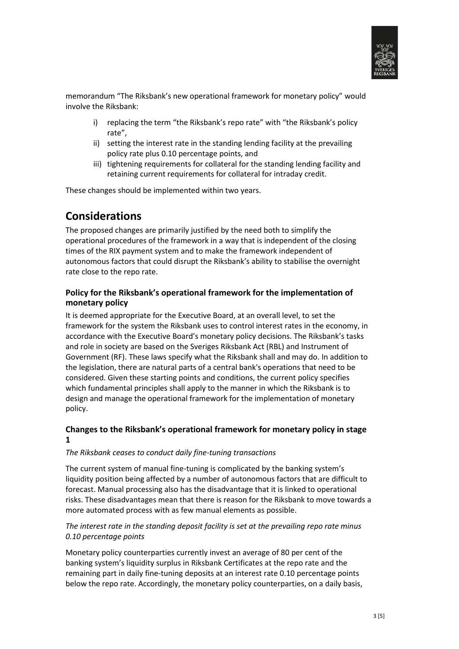

memorandum "The Riksbank's new operational framework for monetary policy" would involve the Riksbank:

- i) replacing the term "the Riksbank's repo rate" with "the Riksbank's policy rate",
- ii) setting the interest rate in the standing lending facility at the prevailing policy rate plus 0.10 percentage points, and
- iii) tightening requirements for collateral for the standing lending facility and retaining current requirements for collateral for intraday credit.

These changes should be implemented within two years.

# **Considerations**

The proposed changes are primarily justified by the need both to simplify the operational procedures of the framework in a way that is independent of the closing times of the RIX payment system and to make the framework independent of autonomous factors that could disrupt the Riksbank's ability to stabilise the overnight rate close to the repo rate.

## **Policy for the Riksbank's operational framework for the implementation of monetary policy**

It is deemed appropriate for the Executive Board, at an overall level, to set the framework for the system the Riksbank uses to control interest rates in the economy, in accordance with the Executive Board's monetary policy decisions. The Riksbank's tasks and role in society are based on the Sveriges Riksbank Act (RBL) and Instrument of Government (RF). These laws specify what the Riksbank shall and may do. In addition to the legislation, there are natural parts of a central bank's operations that need to be considered. Given these starting points and conditions, the current policy specifies which fundamental principles shall apply to the manner in which the Riksbank is to design and manage the operational framework for the implementation of monetary policy.

## **Changes to the Riksbank's operational framework for monetary policy in stage 1**

#### *The Riksbank ceases to conduct daily fine-tuning transactions*

The current system of manual fine-tuning is complicated by the banking system's liquidity position being affected by a number of autonomous factors that are difficult to forecast. Manual processing also has the disadvantage that it is linked to operational risks. These disadvantages mean that there is reason for the Riksbank to move towards a more automated process with as few manual elements as possible.

### *The interest rate in the standing deposit facility is set at the prevailing repo rate minus 0.10 percentage points*

Monetary policy counterparties currently invest an average of 80 per cent of the banking system's liquidity surplus in Riksbank Certificates at the repo rate and the remaining part in daily fine-tuning deposits at an interest rate 0.10 percentage points below the repo rate. Accordingly, the monetary policy counterparties, on a daily basis,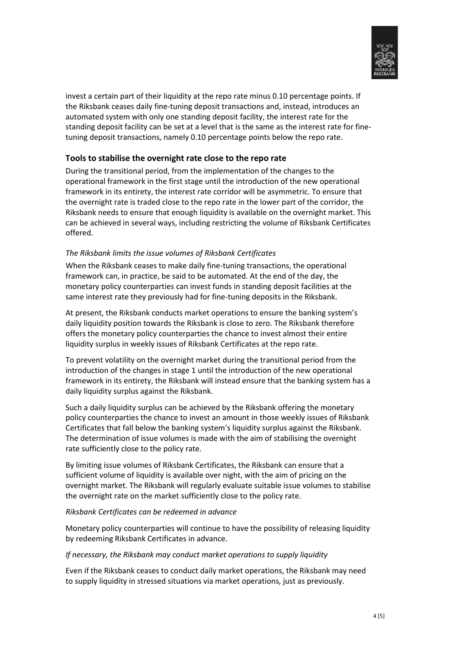

invest a certain part of their liquidity at the repo rate minus 0.10 percentage points. If the Riksbank ceases daily fine-tuning deposit transactions and, instead, introduces an automated system with only one standing deposit facility, the interest rate for the standing deposit facility can be set at a level that is the same as the interest rate for finetuning deposit transactions, namely 0.10 percentage points below the repo rate.

### **Tools to stabilise the overnight rate close to the repo rate**

During the transitional period, from the implementation of the changes to the operational framework in the first stage until the introduction of the new operational framework in its entirety, the interest rate corridor will be asymmetric. To ensure that the overnight rate is traded close to the repo rate in the lower part of the corridor, the Riksbank needs to ensure that enough liquidity is available on the overnight market. This can be achieved in several ways, including restricting the volume of Riksbank Certificates offered.

#### *The Riksbank limits the issue volumes of Riksbank Certificates*

When the Riksbank ceases to make daily fine-tuning transactions, the operational framework can, in practice, be said to be automated. At the end of the day, the monetary policy counterparties can invest funds in standing deposit facilities at the same interest rate they previously had for fine-tuning deposits in the Riksbank.

At present, the Riksbank conducts market operations to ensure the banking system's daily liquidity position towards the Riksbank is close to zero. The Riksbank therefore offers the monetary policy counterparties the chance to invest almost their entire liquidity surplus in weekly issues of Riksbank Certificates at the repo rate.

To prevent volatility on the overnight market during the transitional period from the introduction of the changes in stage 1 until the introduction of the new operational framework in its entirety, the Riksbank will instead ensure that the banking system has a daily liquidity surplus against the Riksbank.

Such a daily liquidity surplus can be achieved by the Riksbank offering the monetary policy counterparties the chance to invest an amount in those weekly issues of Riksbank Certificates that fall below the banking system's liquidity surplus against the Riksbank. The determination of issue volumes is made with the aim of stabilising the overnight rate sufficiently close to the policy rate.

By limiting issue volumes of Riksbank Certificates, the Riksbank can ensure that a sufficient volume of liquidity is available over night, with the aim of pricing on the overnight market. The Riksbank will regularly evaluate suitable issue volumes to stabilise the overnight rate on the market sufficiently close to the policy rate.

#### *Riksbank Certificates can be redeemed in advance*

Monetary policy counterparties will continue to have the possibility of releasing liquidity by redeeming Riksbank Certificates in advance.

#### *If necessary, the Riksbank may conduct market operations to supply liquidity*

Even if the Riksbank ceases to conduct daily market operations, the Riksbank may need to supply liquidity in stressed situations via market operations, just as previously.